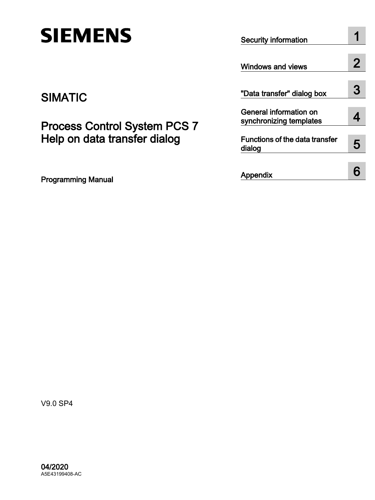# **SIEMENS**

| <b>Security information</b>                       |   |
|---------------------------------------------------|---|
| <b>Windows and views</b>                          |   |
| "Data transfer" dialog box                        |   |
| General information on<br>synchronizing templates |   |
| <b>Functions of the data transfer</b><br>dialog   | 5 |
| Appendix                                          |   |

# SIMATIC

# Process Control System PCS 7 Help on data transfer dialog

Programming Manual

V9.0 SP4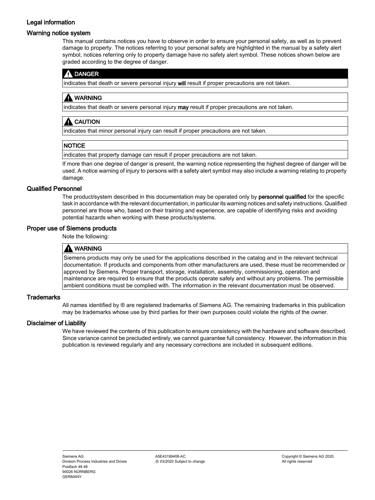## Legal information

#### Warning notice system

This manual contains notices you have to observe in order to ensure your personal safety, as well as to prevent damage to property. The notices referring to your personal safety are highlighted in the manual by a safety alert symbol, notices referring only to property damage have no safety alert symbol. These notices shown below are graded according to the degree of danger.

## DANGER

indicates that death or severe personal injury will result if proper precautions are not taken.

## **A** WARNING

indicates that death or severe personal injury may result if proper precautions are not taken.

## **A** CAUTION

indicates that minor personal injury can result if proper precautions are not taken.

#### **NOTICE**

indicates that property damage can result if proper precautions are not taken.

If more than one degree of danger is present, the warning notice representing the highest degree of danger will be used. A notice warning of injury to persons with a safety alert symbol may also include a warning relating to property damage.

#### Qualified Personnel

The product/system described in this documentation may be operated only by **personnel qualified** for the specific task in accordance with the relevant documentation, in particular its warning notices and safety instructions. Qualified personnel are those who, based on their training and experience, are capable of identifying risks and avoiding potential hazards when working with these products/systems.

#### Proper use of Siemens products

Note the following:

#### **A** WARNING

Siemens products may only be used for the applications described in the catalog and in the relevant technical documentation. If products and components from other manufacturers are used, these must be recommended or approved by Siemens. Proper transport, storage, installation, assembly, commissioning, operation and maintenance are required to ensure that the products operate safely and without any problems. The permissible ambient conditions must be complied with. The information in the relevant documentation must be observed.

#### **Trademarks**

All names identified by ® are registered trademarks of Siemens AG. The remaining trademarks in this publication may be trademarks whose use by third parties for their own purposes could violate the rights of the owner.

#### Disclaimer of Liability

We have reviewed the contents of this publication to ensure consistency with the hardware and software described. Since variance cannot be precluded entirely, we cannot guarantee full consistency. However, the information in this publication is reviewed regularly and any necessary corrections are included in subsequent editions.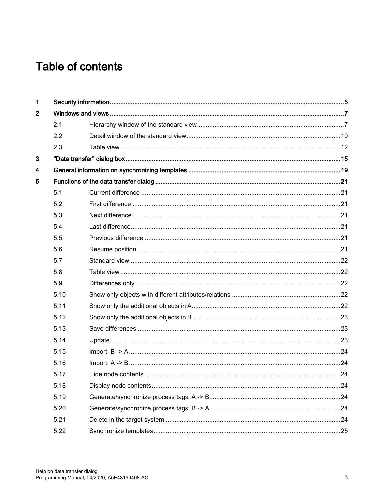# **Table of contents**

| 1                |      |  |
|------------------|------|--|
| $\mathbf{2}$     |      |  |
|                  | 2.1  |  |
|                  | 2.2  |  |
|                  | 2.3  |  |
| 3                |      |  |
| $\boldsymbol{4}$ |      |  |
| 5                |      |  |
|                  | 5.1  |  |
|                  | 5.2  |  |
|                  | 5.3  |  |
|                  | 5.4  |  |
|                  | 5.5  |  |
|                  | 5.6  |  |
|                  | 5.7  |  |
|                  | 5.8  |  |
|                  | 5.9  |  |
|                  | 5.10 |  |
|                  | 5.11 |  |
|                  | 5.12 |  |
|                  | 5.13 |  |
|                  | 5.14 |  |
|                  | 5.15 |  |
|                  | 5.16 |  |
|                  | 5.17 |  |
|                  | 5.18 |  |
|                  | 5.19 |  |
|                  | 5.20 |  |
|                  | 5.21 |  |
|                  | 5.22 |  |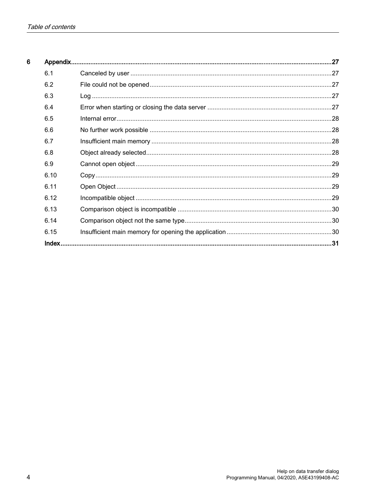| 6 |       |  |
|---|-------|--|
|   | 6.1   |  |
|   | 6.2   |  |
|   | 6.3   |  |
|   | 6.4   |  |
|   | 6.5   |  |
|   | 6.6   |  |
|   | 6.7   |  |
|   | 6.8   |  |
|   | 6.9   |  |
|   | 6.10  |  |
|   | 6.11  |  |
|   | 6.12  |  |
|   | 6.13  |  |
|   | 6.14  |  |
|   | 6.15  |  |
|   | Index |  |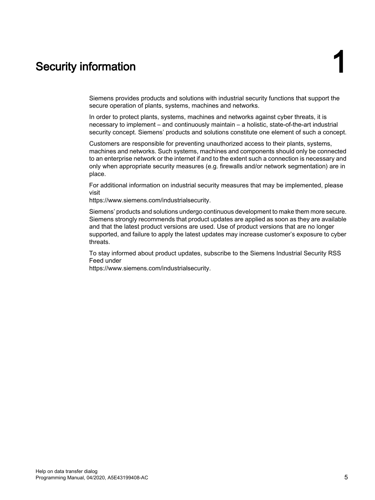## <span id="page-4-0"></span>Security information

Siemens provides products and solutions with industrial security functions that support the secure operation of plants, systems, machines and networks.

In order to protect plants, systems, machines and networks against cyber threats, it is necessary to implement – and continuously maintain – a holistic, state-of-the-art industrial security concept. Siemens' products and solutions constitute one element of such a concept.

Customers are responsible for preventing unauthorized access to their plants, systems, machines and networks. Such systems, machines and components should only be connected to an enterprise network or the internet if and to the extent such a connection is necessary and only when appropriate security measures (e.g. firewalls and/or network segmentation) are in place.

For additional information on industrial security measures that may be implemented, please visit

https://www.siemens.com/industrialsecurity.

Siemens' products and solutions undergo continuous development to make them more secure. Siemens strongly recommends that product updates are applied as soon as they are available and that the latest product versions are used. Use of product versions that are no longer supported, and failure to apply the latest updates may increase customer's exposure to cyber threats.

To stay informed about product updates, subscribe to the Siemens Industrial Security RSS Feed under

https://www.siemens.com/industrialsecurity.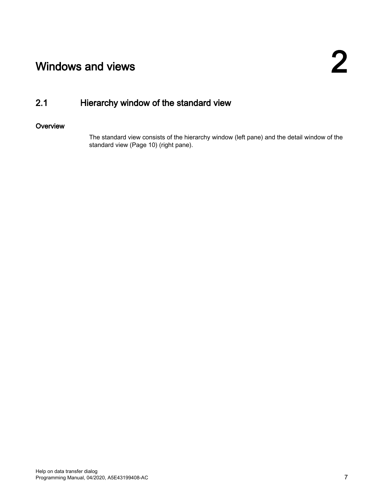## <span id="page-6-0"></span>2.1 Hierarchy window of the standard view

## **Overview**

The standard view consists of the hierarchy window (left pane) and the [detail window of the](#page-9-0)  [standard view](#page-9-0) (Page [10\)](#page-9-0) (right pane).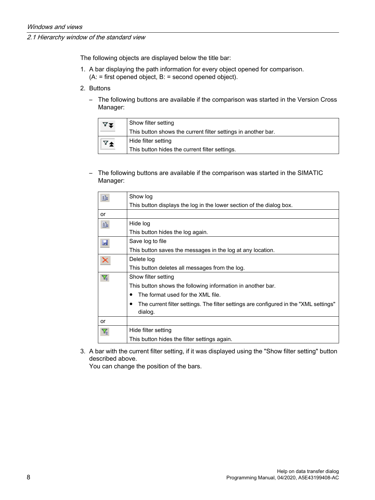2.1 Hierarchy window of the standard view

The following objects are displayed below the title bar:

- 1. A bar displaying the path information for every object opened for comparison.  $(A)$ : = first opened object, B: = second opened object).
- 2. Buttons
	- The following buttons are available if the comparison was started in the Version Cross Manager:

| Hide filter setting                            | ᅑᆇ                       | Show filter setting<br>This button shows the current filter settings in another bar. |  |
|------------------------------------------------|--------------------------|--------------------------------------------------------------------------------------|--|
| This button hides the current filter settings. | $\mathbf{v}_{\pmb{\pm}}$ |                                                                                      |  |

– The following buttons are available if the comparison was started in the SIMATIC Manager:

| Þ              | Show log                                                                                   |
|----------------|--------------------------------------------------------------------------------------------|
|                | This button displays the log in the lower section of the dialog box.                       |
| or             |                                                                                            |
| b.             | Hide log                                                                                   |
|                | This button hides the log again.                                                           |
| $\blacksquare$ | Save log to file                                                                           |
|                | This button saves the messages in the log at any location.                                 |
| ×              | Delete log                                                                                 |
|                | This button deletes all messages from the log.                                             |
| Ŀ              | Show filter setting                                                                        |
|                | This button shows the following information in another bar.                                |
|                | The format used for the XML file.                                                          |
|                | The current filter settings. The filter settings are configured in the "XML settings"<br>٠ |
|                | dialog.                                                                                    |
| or             |                                                                                            |
| ∨∡             | Hide filter setting                                                                        |
|                | This button hides the filter settings again.                                               |

3. A bar with the current filter setting, if it was displayed using the "Show filter setting" button described above.

You can change the position of the bars.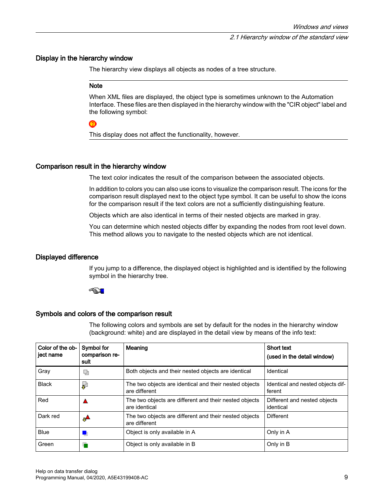2.1 Hierarchy window of the standard view

#### Display in the hierarchy window

The hierarchy view displays all objects as nodes of a tree structure.

#### **Note**

When XML files are displayed, the object type is sometimes unknown to the Automation Interface. These files are then displayed in the hierarchy window with the "CIR object" label and the following symbol:

## ⊚

This display does not affect the functionality, however.

## Comparison result in the hierarchy window

The text color indicates the result of the comparison between the associated objects.

In addition to colors you can also use icons to visualize the comparison result. The icons for the comparison result displayed next to the object type symbol. It can be useful to show the icons for the comparison result if the text colors are not a sufficiently distinguishing feature.

Objects which are also identical in terms of their nested objects are marked in gray.

You can determine which nested objects differ by expanding the nodes from root level down. This method allows you to navigate to the nested objects which are not identical.

#### Displayed difference

If you jump to a difference, the displayed object is highlighted and is identified by the following symbol in the hierarchy tree.

્⊗ા

#### Symbols and colors of the comparison result

The following colors and symbols are set by default for the nodes in the hierarchy window (background: white) and are displayed in the detail view by means of the info text:

| Color of the ob-<br>ject name | Symbol for<br>comparison re-<br>sult | Meaning                                                                 | Short text<br>(used in the detail window)   |
|-------------------------------|--------------------------------------|-------------------------------------------------------------------------|---------------------------------------------|
| Gray                          | 驧                                    | Both objects and their nested objects are identical                     | Identical                                   |
| <b>Black</b>                  | P                                    | The two objects are identical and their nested objects<br>are different | Identical and nested objects dif-<br>ferent |
| Red                           | Δ                                    | The two objects are different and their nested objects<br>are identical | Different and nested objects<br>identical   |
| Dark red                      | ≜ر.                                  | The two objects are different and their nested objects<br>are different | <b>Different</b>                            |
| <b>Blue</b>                   | 5                                    | Object is only available in A                                           | Only in A                                   |
| Green                         |                                      | Object is only available in B                                           | Only in B                                   |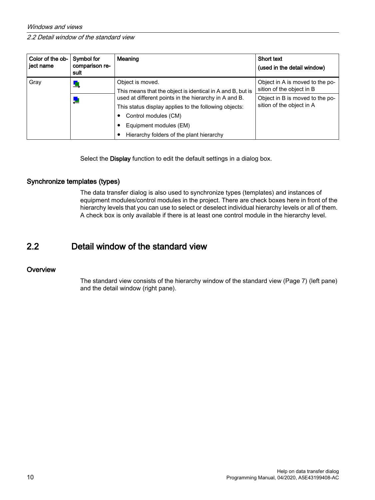#### <span id="page-9-0"></span>2.2 Detail window of the standard view

| Color of the ob-<br>ject name | Symbol for<br>comparison re-<br>sult | Meaning                                                                                                                                                                              | Short text<br>(used in the detail window)                    |
|-------------------------------|--------------------------------------|--------------------------------------------------------------------------------------------------------------------------------------------------------------------------------------|--------------------------------------------------------------|
| Gray                          |                                      | Object is moved.<br>This means that the object is identical in A and B, but is                                                                                                       | Object in A is moved to the po-<br>sition of the object in B |
|                               | Control modules (CM)                 | used at different points in the hierarchy in A and B.<br>This status display applies to the following objects:<br>Equipment modules (EM)<br>Hierarchy folders of the plant hierarchy | Object in B is moved to the po-<br>sition of the object in A |

Select the Display function to edit the default settings in a dialog box.

## Synchronize templates (types)

The data transfer dialog is also used to synchronize types (templates) and instances of equipment modules/control modules in the project. There are check boxes here in front of the hierarchy levels that you can use to select or deselect individual hierarchy levels or all of them. A check box is only available if there is at least one control module in the hierarchy level.

## 2.2 Detail window of the standard view

## **Overview**

The standard view consists of the [hierarchy window of the standard view](#page-6-0) (Page [7\)](#page-6-0) (left pane) and the detail window (right pane).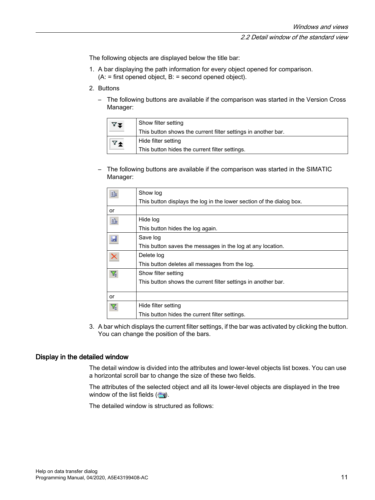The following objects are displayed below the title bar:

- 1. A bar displaying the path information for every object opened for comparison.  $(A)$ : = first opened object, B: = second opened object).
- 2. Buttons
	- The following buttons are available if the comparison was started in the Version Cross Manager:

| ∇Σ             | Show filter setting<br>This button shows the current filter settings in another bar. |
|----------------|--------------------------------------------------------------------------------------|
| $\nabla_{\pm}$ | Hide filter setting<br>This button hides the current filter settings.                |

– The following buttons are available if the comparison was started in the SIMATIC Manager:

| B.  | Show log<br>This button displays the log in the lower section of the dialog box. |
|-----|----------------------------------------------------------------------------------|
| or  |                                                                                  |
| b.  | Hide log                                                                         |
|     | This button hides the log again.                                                 |
| g   | Save log                                                                         |
|     | This button saves the messages in the log at any location.                       |
| ×   | Delete log                                                                       |
|     | This button deletes all messages from the log.                                   |
| ΔŜ, | Show filter setting                                                              |
|     | This button shows the current filter settings in another bar.                    |
| or  |                                                                                  |
| 硁   | Hide filter setting                                                              |
|     | This button hides the current filter settings.                                   |

3. A bar which displays the current filter settings, if the bar was activated by clicking the button. You can change the position of the bars.

#### Display in the detailed window

The detail window is divided into the attributes and lower-level objects list boxes. You can use a horizontal scroll bar to change the size of these two fields.

The attributes of the selected object and all its lower-level objects are displayed in the tree window of the list fields  $(\cdot)$ .

The detailed window is structured as follows: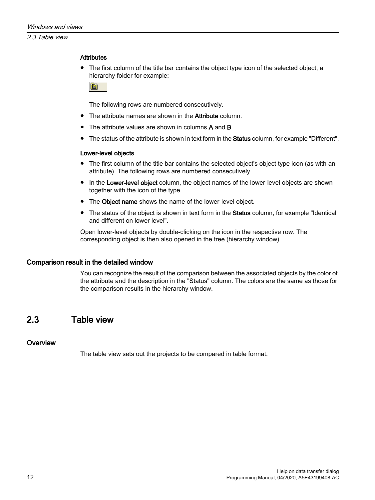<span id="page-11-0"></span>2.3 Table view

#### **Attributes**

● The first column of the title bar contains the object type icon of the selected object, a hierarchy folder for example:

Ē.

The following rows are numbered consecutively.

- The attribute names are shown in the Attribute column.
- The attribute values are shown in columns **A** and **B**.
- The status of the attribute is shown in text form in the Status column, for example "Different".

#### Lower-level objects

- The first column of the title bar contains the selected object's object type icon (as with an attribute). The following rows are numbered consecutively.
- In the Lower-level object column, the object names of the lower-level objects are shown together with the icon of the type.
- The Object name shows the name of the lower-level object.
- The status of the object is shown in text form in the Status column, for example "Identical and different on lower level".

Open lower-level objects by double-clicking on the icon in the respective row. The corresponding object is then also opened in the tree (hierarchy window).

#### Comparison result in the detailed window

You can recognize the result of the comparison between the associated objects by the color of the attribute and the description in the "Status" column. The colors are the same as those for the comparison results in the hierarchy window.

## 2.3 Table view

#### **Overview**

The table view sets out the projects to be compared in table format.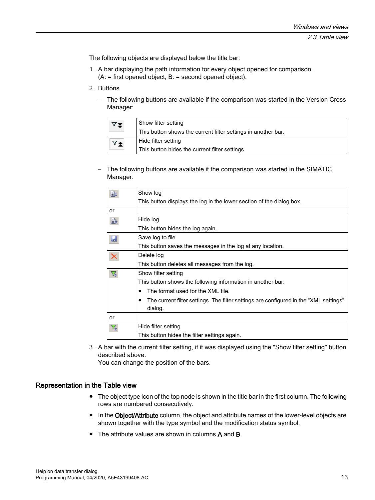2.3 Table view

The following objects are displayed below the title bar:

- 1. A bar displaying the path information for every object opened for comparison.  $(A)$ : = first opened object, B: = second opened object).
- 2. Buttons
	- The following buttons are available if the comparison was started in the Version Cross Manager:

| ∇Σ             | Show filter setting<br>This button shows the current filter settings in another bar. |
|----------------|--------------------------------------------------------------------------------------|
| $\nabla_{\pm}$ | Hide filter setting<br>This button hides the current filter settings.                |

– The following buttons are available if the comparison was started in the SIMATIC Manager:

| Þ         | Show log                                                                              |
|-----------|---------------------------------------------------------------------------------------|
|           | This button displays the log in the lower section of the dialog box.                  |
| or        |                                                                                       |
| <b>il</b> | Hide log                                                                              |
|           | This button hides the log again.                                                      |
| a         | Save log to file                                                                      |
|           | This button saves the messages in the log at any location.                            |
| ×         | Delete log                                                                            |
|           | This button deletes all messages from the log.                                        |
| <b>飞</b>  | Show filter setting                                                                   |
|           | This button shows the following information in another bar.                           |
|           | The format used for the XML file.                                                     |
|           | The current filter settings. The filter settings are configured in the "XML settings" |
|           | dialog.                                                                               |
| or        |                                                                                       |
| V         | Hide filter setting                                                                   |
|           | This button hides the filter settings again.                                          |
|           |                                                                                       |

3. A bar with the current filter setting, if it was displayed using the "Show filter setting" button described above.

You can change the position of the bars.

#### Representation in the Table view

- The object type icon of the top node is shown in the title bar in the first column. The following rows are numbered consecutively.
- In the Object/Attribute column, the object and attribute names of the lower-level objects are shown together with the type symbol and the modification status symbol.
- The attribute values are shown in columns **A** and **B**.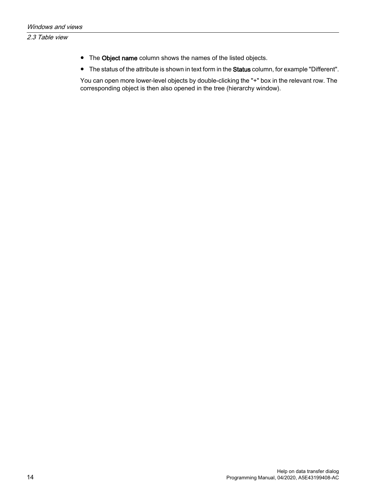- The Object name column shows the names of the listed objects.
- The status of the attribute is shown in text form in the Status column, for example "Different".

You can open more lower-level objects by double-clicking the "+" box in the relevant row. The corresponding object is then also opened in the tree (hierarchy window).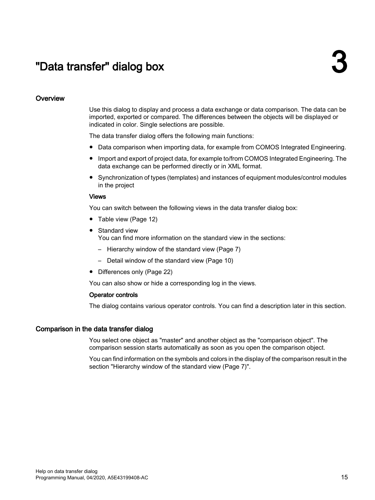# <span id="page-14-0"></span>"Data transfer" dialog box 3

#### **Overview**

Use this dialog to display and process a data exchange or data comparison. The data can be imported, exported or compared. The differences between the objects will be displayed or indicated in color. Single selections are possible.

The data transfer dialog offers the following main functions:

- Data comparison when importing data, for example from COMOS Integrated Engineering.
- Import and export of project data, for example to/from COMOS Integrated Engineering. The data exchange can be performed directly or in XML format.
- Synchronization of types (templates) and instances of equipment modules/control modules in the project

#### Views

You can switch between the following views in the data transfer dialog box:

- • [Table view](#page-11-0) (Page [12](#page-11-0))
- Standard view You can find more information on the standard view in the sections:
	- – [Hierarchy window of the standard view](#page-6-0) (Page [7](#page-6-0))
	- – [Detail window of the standard view](#page-9-0) (Page [10](#page-9-0))
- ● [Differences only](#page-21-0) (Page [22\)](#page-21-0)

You can also show or hide a corresponding log in the views.

#### Operator controls

The dialog contains various operator controls. You can find a description later in this section.

#### Comparison in the data transfer dialog

You select one object as "master" and another object as the "comparison object". The comparison session starts automatically as soon as you open the comparison object.

You can find information on the symbols and colors in the display of the comparison result in the section "[Hierarchy window of the standard view](#page-6-0) (Page [7\)](#page-6-0)".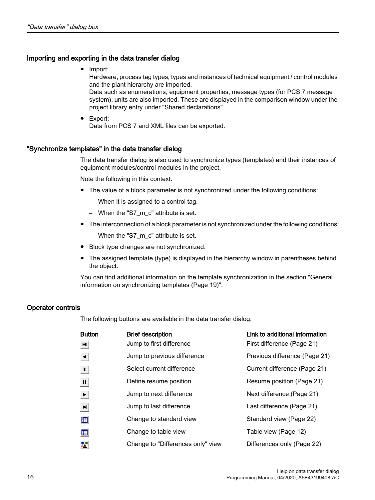## Importing and exporting in the data transfer dialog

● Import:

Hardware, process tag types, types and instances of technical equipment / control modules and the plant hierarchy are imported.

Data such as enumerations, equipment properties, message types (for PCS 7 message system), units are also imported. These are displayed in the comparison window under the project library entry under "Shared declarations".

● Export: Data from PCS 7 and XML files can be exported.

## "Synchronize templates" in the data transfer dialog

The data transfer dialog is also used to synchronize types (templates) and their instances of equipment modules/control modules in the project.

Note the following in this context:

- The value of a block parameter is not synchronized under the following conditions:
	- When it is assigned to a control tag.
	- When the "S7\_m\_c" attribute is set.
- The interconnection of a block parameter is not synchronized under the following conditions:
	- When the "S7\_m\_c" attribute is set.
- Block type changes are not synchronized.
- The assigned template (type) is displayed in the hierarchy window in parentheses behind the object.

You can find additional information on the template synchronization in the section "[General](#page-18-0)  [information on synchronizing templates](#page-18-0) (Page [19](#page-18-0))".

#### Operator controls

The following buttons are available in the data transfer dialog:

| <b>Button</b><br>$\blacksquare$ | <b>Brief description</b><br>Jump to first difference | Link to additional information<br>First difference (Page 21) |
|---------------------------------|------------------------------------------------------|--------------------------------------------------------------|
| $\left  \bullet \right $        | Jump to previous difference                          | Previous difference (Page 21)                                |
| $\vert \cdot \vert$             | Select current difference                            | Current difference (Page 21)                                 |
| $\vert \mathbf{u} \vert$        | Define resume position                               | Resume position (Page 21)                                    |
| $\blacktriangleright$           | Jump to next difference                              | Next difference (Page 21)                                    |
| H                               | Jump to last difference                              | Last difference (Page 21)                                    |
| 囯                               | Change to standard view                              | Standard view (Page 22)                                      |
| $\blacksquare$                  | Change to table view                                 | Table view (Page 12)                                         |
| $\mathbf{K}$                    | Change to "Differences only" view                    | Differences only (Page 22)                                   |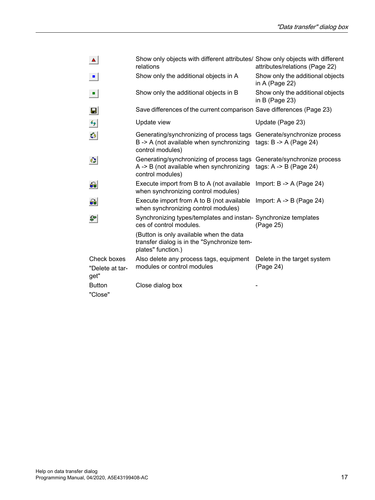| Δ.                      | Show only objects with different attributes/ Show only objects with different<br>relations                   | attributes/relations (Page 22)                                    |
|-------------------------|--------------------------------------------------------------------------------------------------------------|-------------------------------------------------------------------|
|                         | Show only the additional objects in A                                                                        | Show only the additional objects<br>in A (Page 22)                |
|                         | Show only the additional objects in B                                                                        | Show only the additional objects<br>in B (Page $23$ )             |
| $\blacksquare$          | Save differences of the current comparison Save differences (Page 23)                                        |                                                                   |
| $\epsilon_{\rm f}$      | Update view                                                                                                  | Update (Page 23)                                                  |
| $\mathfrak{S}$          | Generating/synchronizing of process tags<br>B -> A (not available when synchronizing<br>control modules)     | Generate/synchronize process<br>tags: $B \rightarrow A$ (Page 24) |
| $\mathfrak{S}$          | Generating/synchronizing of process tags<br>A -> B (not available when synchronizing<br>control modules)     | Generate/synchronize process<br>tags: $A \rightarrow B$ (Page 24) |
| 60                      | Execute import from B to A (not available<br>when synchronizing control modules)                             | Import: $B \rightarrow A$ (Page 24)                               |
| ôò.                     | Execute import from A to B (not available<br>when synchronizing control modules)                             | Import: $A \rightarrow B$ (Page 24)                               |
| $\bullet$               | Synchronizing types/templates and instan- Synchronize templates<br>ces of control modules.                   | (Page 25)                                                         |
|                         | (Button is only available when the data<br>transfer dialog is in the "Synchronize tem-<br>plates" function.) |                                                                   |
| Check boxes             | Also delete any process tags, equipment                                                                      | Delete in the target system<br>(Page 24)                          |
| "Delete at tar-<br>get" | modules or control modules                                                                                   |                                                                   |
| <b>Button</b>           | Close dialog box                                                                                             |                                                                   |
| "Close"                 |                                                                                                              |                                                                   |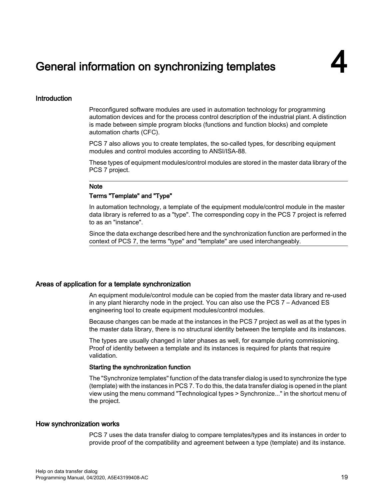# <span id="page-18-0"></span>General information on synchronizing templates 4

#### Introduction

Preconfigured software modules are used in automation technology for programming automation devices and for the process control description of the industrial plant. A distinction is made between simple program blocks (functions and function blocks) and complete automation charts (CFC).

PCS 7 also allows you to create templates, the so-called types, for describing equipment modules and control modules according to ANSI/ISA-88.

These types of equipment modules/control modules are stored in the master data library of the PCS 7 project.

#### **Note**

#### Terms "Template" and "Type"

In automation technology, a template of the equipment module/control module in the master data library is referred to as a "type". The corresponding copy in the PCS 7 project is referred to as an "instance".

Since the data exchange described here and the synchronization function are performed in the context of PCS 7, the terms "type" and "template" are used interchangeably.

#### Areas of application for a template synchronization

An equipment module/control module can be copied from the master data library and re-used in any plant hierarchy node in the project. You can also use the PCS 7 – Advanced ES engineering tool to create equipment modules/control modules.

Because changes can be made at the instances in the PCS 7 project as well as at the types in the master data library, there is no structural identity between the template and its instances.

The types are usually changed in later phases as well, for example during commissioning. Proof of identity between a template and its instances is required for plants that require validation.

#### Starting the synchronization function

The "Synchronize templates" function of the data transfer dialog is used to synchronize the type (template) with the instances in PCS 7. To do this, the data transfer dialog is opened in the plant view using the menu command "Technological types > Synchronize..." in the shortcut menu of the project.

#### How synchronization works

PCS 7 uses the data transfer dialog to compare templates/types and its instances in order to provide proof of the compatibility and agreement between a type (template) and its instance.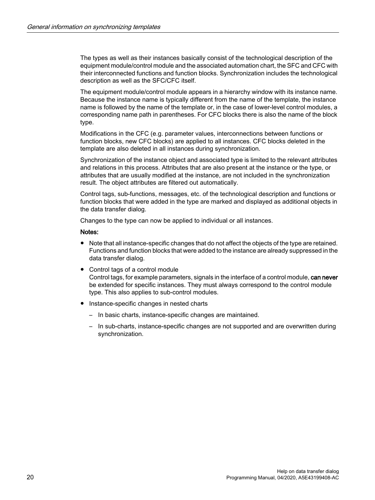The types as well as their instances basically consist of the technological description of the equipment module/control module and the associated automation chart, the SFC and CFC with their interconnected functions and function blocks. Synchronization includes the technological description as well as the SFC/CFC itself.

The equipment module/control module appears in a hierarchy window with its instance name. Because the instance name is typically different from the name of the template, the instance name is followed by the name of the template or, in the case of lower-level control modules, a corresponding name path in parentheses. For CFC blocks there is also the name of the block type.

Modifications in the CFC (e.g. parameter values, interconnections between functions or function blocks, new CFC blocks) are applied to all instances. CFC blocks deleted in the template are also deleted in all instances during synchronization.

Synchronization of the instance object and associated type is limited to the relevant attributes and relations in this process. Attributes that are also present at the instance or the type, or attributes that are usually modified at the instance, are not included in the synchronization result. The object attributes are filtered out automatically.

Control tags, sub-functions, messages, etc. of the technological description and functions or function blocks that were added in the type are marked and displayed as additional objects in the data transfer dialog.

Changes to the type can now be applied to individual or all instances.

#### Notes:

- Note that all instance-specific changes that do not affect the objects of the type are retained. Functions and function blocks that were added to the instance are already suppressed in the data transfer dialog.
- Control tags of a control module Control tags, for example parameters, signals in the interface of a control module, can never be extended for specific instances. They must always correspond to the control module type. This also applies to sub-control modules.
- Instance-specific changes in nested charts
	- In basic charts, instance-specific changes are maintained.
	- In sub-charts, instance-specific changes are not supported and are overwritten during synchronization.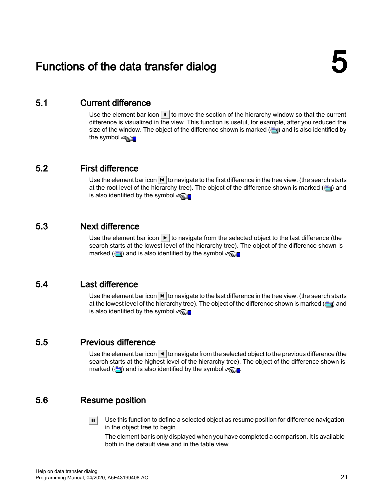# <span id="page-20-0"></span>Functions of the data transfer dialog 5

## 5.1 Current difference

Use the element bar icon  $\blacksquare$  to move the section of the hierarchy window so that the current difference is visualized in the view. This function is useful, for example, after you reduced the size of the window. The object of the difference shown is marked  $(\cdot)$  and is also identified by the symbol  $\sqrt{2}$ .

## 5.2 First difference

Use the element bar icon  $\text{H}$  to navigate to the first difference in the tree view. (the search starts at the root level of the hierarchy tree). The object of the difference shown is marked  $(\cdot)$  and is also identified by the symbol  $\sqrt{2}$ .

## 5.3 Next difference

Use the element bar icon  $\blacktriangleright$  to navigate from the selected object to the last difference (the search starts at the lowest level of the hierarchy tree). The object of the difference shown is marked  $(\sqrt{m}$  and is also identified by the symbol  $\sqrt{m}$ .

## 5.4 Last difference

Use the element bar icon  $\blacktriangleright$  to navigate to the last difference in the tree view. (the search starts at the lowest level of the hierarchy tree). The object of the difference shown is marked ( $\blacksquare$ ) and is also identified by the symbol  $\lll$ .

## 5.5 Previous difference

Use the element bar icon  $\blacktriangleleft$  to navigate from the selected object to the previous difference (the search starts at the highest level of the hierarchy tree). The object of the difference shown is marked  $(\cdot)$  and is also identified by the symbol  $\infty$ .

## 5.6 Resume position

 $\mathbf{u}$ Use this function to define a selected object as resume position for difference navigation in the object tree to begin.

The element bar is only displayed when you have completed a comparison. It is available both in the default view and in the table view.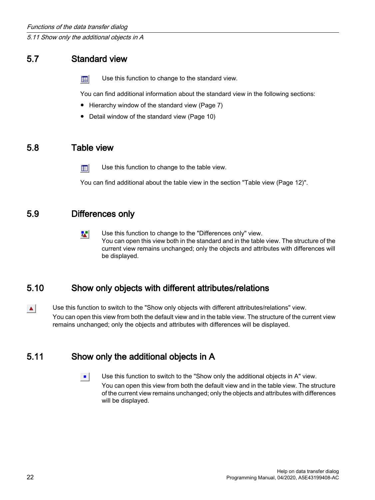<span id="page-21-0"></span>5.11 Show only the additional objects in A

## 5.7 Standard view

Use this function to change to the standard view. 阊

You can find additional information about the standard view in the following sections:

- ● [Hierarchy window of the standard view](#page-6-0) (Page [7\)](#page-6-0)
- ● [Detail window of the standard view](#page-9-0) (Page [10](#page-9-0))

## 5.8 Table view

**ial** Use this function to change to the table view.

You can find additional about the table view in the section "[Table view](#page-11-0) (Page [12\)](#page-11-0)".

## 5.9 Differences only

 $\mathbf{x}$ Use this function to change to the "Differences only" view. You can open this view both in the standard and in the table view. The structure of the current view remains unchanged; only the objects and attributes with differences will be displayed.

## 5.10 Show only objects with different attributes/relations

Use this function to switch to the "Show only objects with different attributes/relations" view.  $\blacktriangle$ You can open this view from both the default view and in the table view. The structure of the current view remains unchanged; only the objects and attributes with differences will be displayed.

## 5.11 Show only the additional objects in A

Use this function to switch to the "Show only the additional objects in A" view.  $\blacksquare$ You can open this view from both the default view and in the table view. The structure of the current view remains unchanged; only the objects and attributes with differences will be displayed.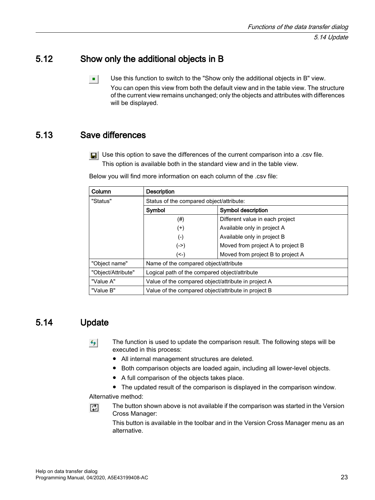## <span id="page-22-0"></span>5.12 Show only the additional objects in B

Use this function to switch to the "Show only the additional objects in B" view.  $\bullet$ You can open this view from both the default view and in the table view. The structure of the current view remains unchanged; only the objects and attributes with differences will be displayed.

## 5.13 Save differences

 $\Box$  Use this option to save the differences of the current comparison into a .csv file. This option is available both in the standard view and in the table view.

| Column             | <b>Description</b>                                  |                                   |  |
|--------------------|-----------------------------------------------------|-----------------------------------|--|
| "Status"           | Status of the compared object/attribute:            |                                   |  |
|                    | Symbol                                              | <b>Symbol description</b>         |  |
|                    | (#)                                                 | Different value in each project   |  |
|                    | $^{(+)}$                                            | Available only in project A       |  |
|                    | $(\textnormal{-})$                                  | Available only in project B       |  |
|                    | (->)                                                | Moved from project A to project B |  |
|                    | (<-)                                                | Moved from project B to project A |  |
| "Object name"      | Name of the compared object/attribute               |                                   |  |
| "Object/Attribute" | Logical path of the compared object/attribute       |                                   |  |
| "Value A"          | Value of the compared object/attribute in project A |                                   |  |
| "Value B"          | Value of the compared object/attribute in project B |                                   |  |

Below you will find more information on each column of the .csv file:

## 5.14 Update

The function is used to update the comparison result. The following steps will be  $\left| \cdot \right|$ executed in this process:

- All internal management structures are deleted.
- Both comparison objects are loaded again, including all lower-level objects.
- A full comparison of the objects takes place.
- The updated result of the comparison is displayed in the comparison window.

Alternative method:

The button shown above is not available if the comparison was started in the Version 圍 Cross Manager:

This button is available in the toolbar and in the Version Cross Manager menu as an alternative.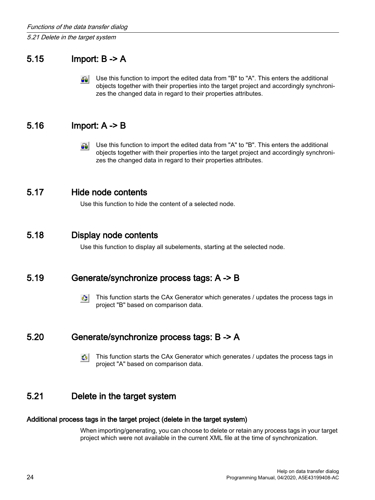<span id="page-23-0"></span>5.21 Delete in the target system

## 5.15 Import: B -> A

Use this function to import the edited data from "B" to "A". This enters the additional éèl objects together with their properties into the target project and accordingly synchroni‐ zes the changed data in regard to their properties attributes.

## 5.16 Import: A -> B

Use this function to import the edited data from "A" to "B". This enters the additional 6èl objects together with their properties into the target project and accordingly synchroni‐ zes the changed data in regard to their properties attributes.

## 5.17 Hide node contents

Use this function to hide the content of a selected node.

## 5.18 Display node contents

Use this function to display all subelements, starting at the selected node.

## 5.19 Generate/synchronize process tags: A -> B

 $|2\rangle$ This function starts the CAx Generator which generates / updates the process tags in project "B" based on comparison data.

## 5.20 Generate/synchronize process tags: B -> A

This function starts the CAx Generator which generates / updates the process tags in  $\mathcal{L}_{\mathcal{F}}$ project "A" based on comparison data.

## 5.21 Delete in the target system

## Additional process tags in the target project (delete in the target system)

When importing/generating, you can choose to delete or retain any process tags in your target project which were not available in the current XML file at the time of synchronization.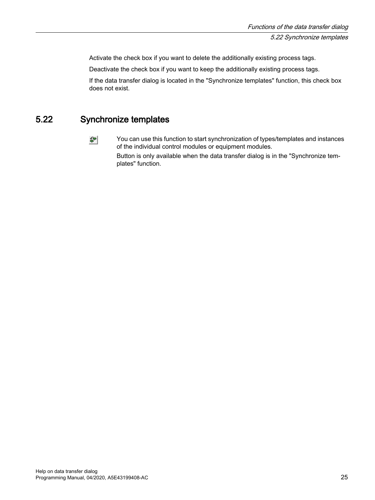<span id="page-24-0"></span>Activate the check box if you want to delete the additionally existing process tags.

Deactivate the check box if you want to keep the additionally existing process tags.

If the data transfer dialog is located in the "Synchronize templates" function, this check box does not exist.

## 5.22 Synchronize templates

을 You can use this function to start synchronization of types/templates and instances of the individual control modules or equipment modules.

Button is only available when the data transfer dialog is in the "Synchronize tem‐ plates" function.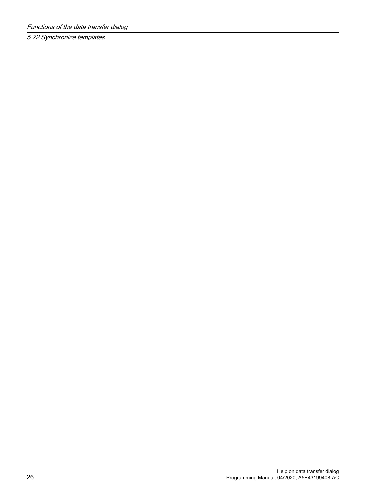## Functions of the data transfer dialog

5.22 Synchronize templates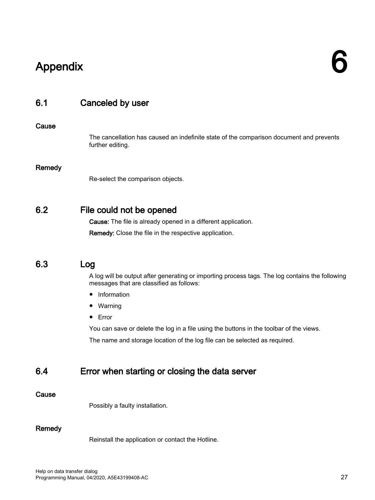# <span id="page-26-0"></span> $\mathsf{Appendix}$  6

## 6.1 Canceled by user

#### **Cause**

The cancellation has caused an indefinite state of the comparison document and prevents further editing.

#### **Remedy**

Re-select the comparison objects.

## 6.2 File could not be opened

Cause: The file is already opened in a different application.

Remedy: Close the file in the respective application.

## 6.3 Log

A log will be output after generating or importing process tags. The log contains the following messages that are classified as follows:

- Information
- Warning
- Error

You can save or delete the log in a file using the buttons in the toolbar of the views.

The name and storage location of the log file can be selected as required.

## 6.4 Error when starting or closing the data server

#### **Cause**

Possibly a faulty installation.

#### **Remedy**

Reinstall the application or contact the Hotline.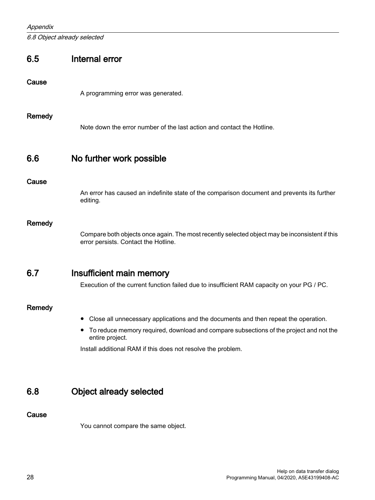<span id="page-27-0"></span>**Appendix** 

6.8 Object already selected

## 6.5 Internal error

#### **Cause**

A programming error was generated.

## **Remedy**

Note down the error number of the last action and contact the Hotline.

## 6.6 No further work possible

#### Cause

An error has caused an indefinite state of the comparison document and prevents its further editing.

## Remedy

Compare both objects once again. The most recently selected object may be inconsistent if this error persists. Contact the Hotline.

## 6.7 Insufficient main memory

Execution of the current function failed due to insufficient RAM capacity on your PG / PC.

## **Remedy**

- Close all unnecessary applications and the documents and then repeat the operation.
- To reduce memory required, download and compare subsections of the project and not the entire project.

Install additional RAM if this does not resolve the problem.

## 6.8 Object already selected

#### Cause

You cannot compare the same object.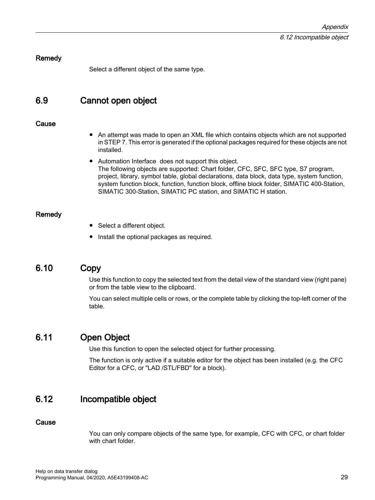#### <span id="page-28-0"></span>Remedy

Select a different object of the same type.

## 6.9 Cannot open object

#### **Cause**

- An attempt was made to open an XML file which contains objects which are not supported in STEP 7. This error is generated if the optional packages required for these objects are not installed.
- Automation Interface does not support this object. The following objects are supported: Chart folder, CFC, SFC, SFC type, S7 program, project, library, symbol table, global declarations, data block, data type, system function, system function block, function, function block, offline block folder, SIMATIC 400-Station, SIMATIC 300-Station, SIMATIC PC station, and SIMATIC H station.

#### Remedy

- Select a different object.
- Install the optional packages as required.

## 6.10 Copy

Use this function to copy the selected text from the detail view of the standard view (right pane) or from the table view to the clipboard.

You can select multiple cells or rows, or the complete table by clicking the top-left corner of the table.

## 6.11 Open Object

Use this function to open the selected object for further processing.

The function is only active if a suitable editor for the object has been installed (e.g. the CFC Editor for a CFC, or "LAD /STL/FBD" for a block).

## 6.12 Incompatible object

#### **Cause**

You can only compare objects of the same type, for example, CFC with CFC, or chart folder with chart folder.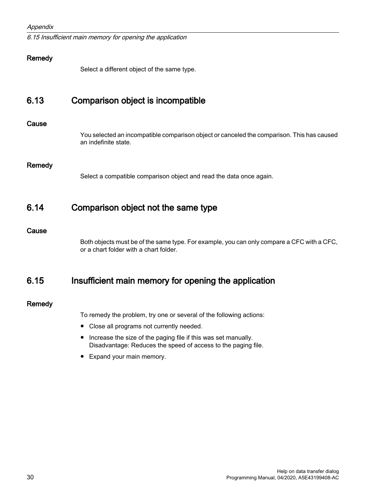<span id="page-29-0"></span>6.15 Insufficient main memory for opening the application

## Remedy

Select a different object of the same type.

## 6.13 Comparison object is incompatible

#### **Cause**

You selected an incompatible comparison object or canceled the comparison. This has caused an indefinite state.

#### Remedy

Select a compatible comparison object and read the data once again.

## 6.14 Comparison object not the same type

### Cause

Both objects must be of the same type. For example, you can only compare a CFC with a CFC, or a chart folder with a chart folder.

## 6.15 Insufficient main memory for opening the application

## Remedy

To remedy the problem, try one or several of the following actions:

- Close all programs not currently needed.
- Increase the size of the paging file if this was set manually. Disadvantage: Reduces the speed of access to the paging file.
- Expand your main memory.